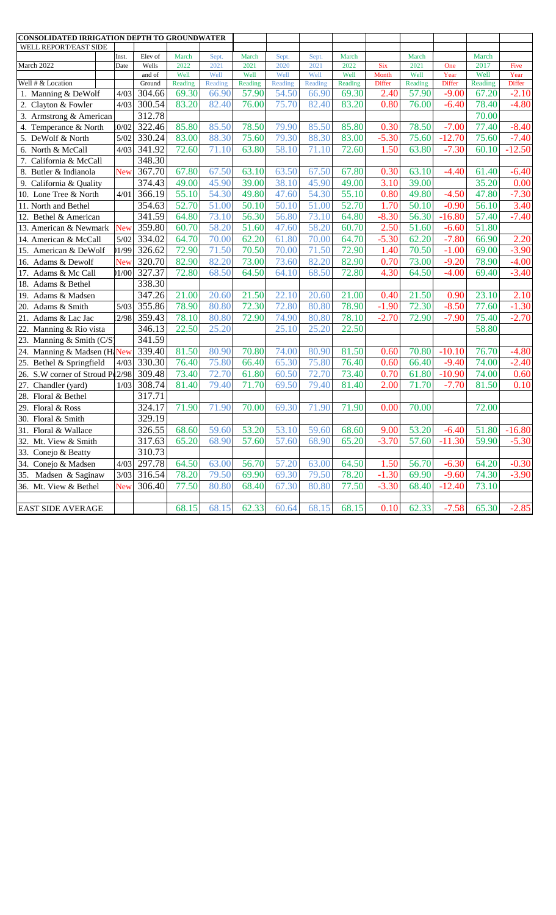| CONSOLIDATED IRRIGATION DEPTH TO GROUNDWATER |            |                  |                 |                 |                 |                 |                 |                 |                 |                    |                       |                 |                |
|----------------------------------------------|------------|------------------|-----------------|-----------------|-----------------|-----------------|-----------------|-----------------|-----------------|--------------------|-----------------------|-----------------|----------------|
| WELL REPORT/EAST SIDE                        |            |                  |                 |                 |                 |                 |                 |                 |                 |                    |                       |                 |                |
|                                              | Inst.      | Elev of          | March           | Sept.           | March           | Sept.           | Sept.           | March           |                 | March              |                       | March           |                |
| March 2022                                   | Date       | Wells            | 2022            | 2021            | 2021            | 2020            | 2021            | 2022            | Six             | 2021               | One                   | 2017            | Five           |
| Well # & Location                            |            | and of<br>Ground | Well<br>Reading | Well<br>Reading | Well<br>Reading | Well<br>Reading | Well<br>Reading | Well<br>Reading | Month<br>Differ | Well<br>Reading    | Year<br><b>Differ</b> | Well<br>Reading | Year<br>Differ |
| 1. Manning & DeWolf                          | 4/03       | 304.66           | 69.30           | 66.90           | 57.90           | 54.50           | 66.90           | 69.30           | 2.40            | 57.90              | $-9.00$               | 67.20           | $-2.10$        |
| 2. Clayton & Fowler                          | 4/03       | 300.54           | 83.20           | 82.40           | 76.00           | 75.70           | 82.40           | 83.20           | 0.80            | 76.00              | $-6.40$               | 78.40           | $-4.80$        |
| 3. Armstrong & American                      |            | 312.78           |                 |                 |                 |                 |                 |                 |                 |                    |                       | 70.00           |                |
| 0/02<br>4. Temperance & North                |            | 322.46           | 85.80           | 85.50           | 78.50           | 79.90           | 85.50           | 85.80           | 0.30            | 78.50              | $-7.00$               | 77.40           | $-8.40$        |
| 5. DeWolf & North                            | 5/02       | 330.24           | 83.00           | 88.30           | 75.60           | 79.30           | 88.30           | 83.00           | $-5.30$         | 75.60              | $-12.70$              | 75.60           | $-7.40$        |
| 6. North & McCall                            | 4/03       | 341.92           | 72.60           | 71.10           | 63.80           | 58.10           | 71.10           | 72.60           | 1.50            | 63.80              | $-7.30$               | 60.10           | $-12.50$       |
| 7. California & McCall                       |            | 348.30           |                 |                 |                 |                 |                 |                 |                 |                    |                       |                 |                |
| 8. Butler & Indianola                        | <b>New</b> | 367.70           | 67.80           | 67.50           | 63.10           | 63.50           | 67.50           | 67.80           | 0.30            | 63.10              | $-4.40$               | 61.40           | $-6.40$        |
| 9. California & Quality                      |            | 374.43           | 49.00           | 45.90           | 39.00           | 38.10           | 45.90           | 49.00           | 3.10            | 39.00              |                       | 35.20           | 0.00           |
| 10. Lone Tree & North                        | 4/01       | 366.19           | 55.10           | 54.30           | 49.80           | 47.60           | 54.30           | 55.10           | 0.80            | 49.80              | $-4.50$               | 47.80           | $-7.30$        |
| 11. North and Bethel                         |            | 354.63           | 52.70           | 51.00           | 50.10           | 50.10           | 51.00           | 52.70           | 1.70            | 50.10              | $-0.90$               | 56.10           | 3.40           |
| 12. Bethel & American                        |            | 341.59           | 64.80           | 73.10           | 56.30           | 56.80           | 73.10           | 64.80           | $-8.30$         | 56.30              | $-16.80$              | 57.40           | $-7.40$        |
| 13. American & Newmark                       | New        | 359.80           | 60.70           | 58.20           | 51.60           | 47.60           | 58.20           | 60.70           | 2.50            | $\overline{51.60}$ | $-6.60$               | 51.80           |                |
| 14. American & McCall                        | 5/02       | 334.02           | 64.70           | 70.00           | 62.20           | 61.80           | 70.00           | 64.70           | $-5.30$         | 62.20              | $-7.80$               | 66.90           | 2.20           |
| 15. American & DeWolf                        | 1/99       | 326.62           | 72.90           | 71.50           | 70.50           | 70.00           | 71.50           | 72.90           | 1.40            | 70.50              | $-1.00$               | 69.00           | $-3.90$        |
| 16. Adams & Dewolf                           | New        | 320.70           | 82.90           | 82.20           | 73.00           | 73.60           | 82.20           | 82.90           | 0.70            | 73.00              | $-9.20$               | 78.90           | $-4.00$        |
| 17.<br>Adams & Mc Call                       | 1/00       | 327.37           | 72.80           | 68.50           | 64.50           | 64.10           | 68.50           | 72.80           | 4.30            | 64.50              | $-4.00$               | 69.40           | $-3.40$        |
| 18. Adams & Bethel                           |            | 338.30           |                 |                 |                 |                 |                 |                 |                 |                    |                       |                 |                |
| 19.<br>Adams & Madsen                        |            | 347.26           | 21.00           | 20.60           | 21.50           | 22.10           | 20.60           | 21.00           | 0.40            | 21.50              | 0.90                  | 23.10           | 2.10           |
| 20.<br>Adams & Smith                         | 5/03       | 355.86           | 78.90           | 80.80           | 72.30           | 72.80           | 80.80           | 78.90           | $-1.90$         | 72.30              | $-8.50$               | 77.60           | $-1.30$        |
| 21. Adams & Lac Jac                          | 2/98       | 359.43           | 78.10           | 80.80           | 72.90           | 74.90           | 80.80           | 78.10           | $-2.70$         | 72.90              | $-7.90$               | 75.40           | $-2.70$        |
| 22. Manning & Rio vista                      |            | 346.13           | 22.50           | 25.20           |                 | 25.10           | 25.20           | 22.50           |                 |                    |                       | 58.80           |                |
| 23. Manning & Smith (C/S)                    |            | 341.59           |                 |                 |                 |                 |                 |                 |                 |                    |                       |                 |                |
| 24. Manning & Madsen (H. New                 |            | 339.40           | 81.50           | 80.90           | 70.80           | 74.00           | 80.90           | 81.50           | 0.60            | 70.80              | $-10.10$              | 76.70           | $-4.80$        |
| 25. Bethel & Springfield                     | 4/03       | 330.30           | 76.40           | 75.80           | 66.40           | 65.30           | 75.80           | 76.40           | 0.60            | 66.40              | $-9.40$               | 74.00           | $-2.40$        |
| 26. S.W corner of Stroud Pl 2/98             |            | 309.48           | 73.40           | 72.70           | 61.80           | 60.50           | 72.70           | 73.40           | 0.70            | 61.80              | $-10.90$              | 74.00           | 0.60           |
| Chandler (yard)<br>27.                       | 1/03       | 308.74           | 81.40           | 79.40           | 71.70           | 69.50           | 79.40           | 81.40           | 2.00            | 71.70              | $-7.70$               | 81.50           | 0.10           |
| 28. Floral & Bethel                          |            | 317.71           |                 |                 |                 |                 |                 |                 |                 |                    |                       |                 |                |
| 29. Floral & Ross                            |            | 324.17           | 71.90           | 71.90           | 70.00           | 69.30           | 71.90           | 71.90           | 0.00            | 70.00              |                       | 72.00           |                |
| 30. Floral & Smith                           |            | 329.19           |                 |                 |                 |                 |                 |                 |                 |                    |                       |                 |                |
| 31. Floral & Wallace                         |            | 326.55           | 68.60           | 59.60           | 53.20           | 53.10           | 59.60           | 68.60           | 9.00            | 53.20              | $-6.40$               | 51.80           | $-16.80$       |
| 32. Mt. View & Smith                         |            | 317.63           | 65.20           | 68.90           | 57.60           | 57.60           | 68.90           | 65.20           | $-3.70$         | 57.60              | $-11.30$              | 59.90           | $-5.30$        |
| 33. Conejo & Beatty                          |            | 310.73           |                 |                 |                 |                 |                 |                 |                 |                    |                       |                 |                |
| 34. Conejo & Madsen                          | 4/03       | 297.78           | 64.50           | 63.00           | 56.70           | 57.20           | 63.00           | 64.50           | 1.50            | 56.70              | $-6.30$               | 64.20           | $-0.30$        |
| 35. Madsen & Saginaw                         | 3/03       | 316.54           | 78.20           | 79.50           | 69.90           | 69.30           | 79.50           | 78.20           | $-1.30$         | 69.90              | $-9.60$               | 74.30           | $-3.90$        |
| 36. Mt. View & Bethel                        | New        | 306.40           | 77.50           | 80.80           | 68.40           | 67.30           | 80.80           | 77.50           | $-3.30$         | 68.40              | $-12.40$              | 73.10           |                |
|                                              |            |                  |                 |                 |                 |                 |                 |                 |                 |                    |                       |                 |                |
| <b>EAST SIDE AVERAGE</b>                     |            |                  | 68.15           | 68.15           | 62.33           | 60.64           | 68.15           | 68.15           | 0.10            | 62.33              | $-7.58$               | 65.30           | $-2.85$        |